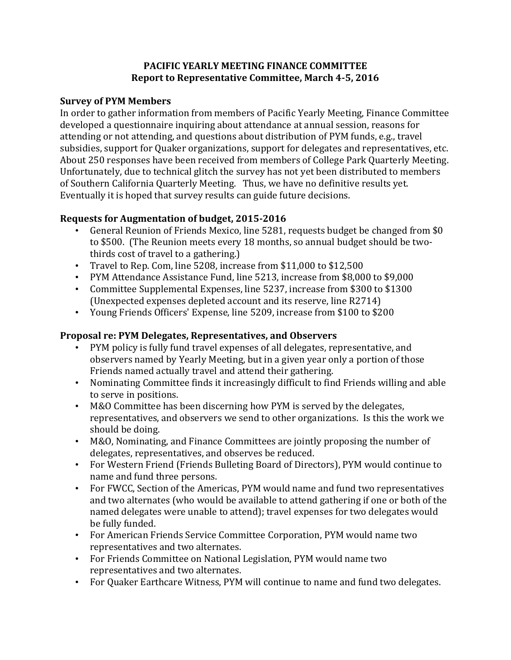## **PACIFIC YEARLY MEETING FINANCE COMMITTEE Report to Representative Committee, March 4-5, 2016**

## **Survey of PYM Members**

In order to gather information from members of Pacific Yearly Meeting, Finance Committee developed a questionnaire inquiring about attendance at annual session, reasons for attending or not attending, and questions about distribution of PYM funds, e.g., travel subsidies, support for Quaker organizations, support for delegates and representatives, etc. About 250 responses have been received from members of College Park Quarterly Meeting. Unfortunately, due to technical glitch the survey has not yet been distributed to members of Southern California Quarterly Meeting. Thus, we have no definitive results yet. Eventually it is hoped that survey results can guide future decisions.

## **Requests for Augmentation of budget, 2015-2016**

- General Reunion of Friends Mexico, line 5281, requests budget be changed from \$0 to \$500. (The Reunion meets every 18 months, so annual budget should be twothirds cost of travel to a gathering.)
- Travel to Rep. Com, line 5208, increase from \$11,000 to \$12,500
- PYM Attendance Assistance Fund, line 5213, increase from \$8,000 to \$9,000
- Committee Supplemental Expenses, line 5237, increase from \$300 to \$1300 (Unexpected expenses depleted account and its reserve, line R2714)
- Young Friends Officers' Expense, line 5209, increase from \$100 to \$200

## **Proposal re: PYM Delegates, Representatives, and Observers**

- PYM policy is fully fund travel expenses of all delegates, representative, and observers named by Yearly Meeting, but in a given year only a portion of those Friends named actually travel and attend their gathering.
- Nominating Committee finds it increasingly difficult to find Friends willing and able to serve in positions.
- M&O Committee has been discerning how PYM is served by the delegates, representatives, and observers we send to other organizations. Is this the work we should be doing.
- M&O, Nominating, and Finance Committees are jointly proposing the number of delegates, representatives, and observes be reduced.
- For Western Friend (Friends Bulleting Board of Directors), PYM would continue to name and fund three persons.
- For FWCC, Section of the Americas, PYM would name and fund two representatives and two alternates (who would be available to attend gathering if one or both of the named delegates were unable to attend); travel expenses for two delegates would be fully funded.
- For American Friends Service Committee Corporation, PYM would name two representatives and two alternates.
- For Friends Committee on National Legislation, PYM would name two representatives and two alternates.
- For Quaker Earthcare Witness, PYM will continue to name and fund two delegates.